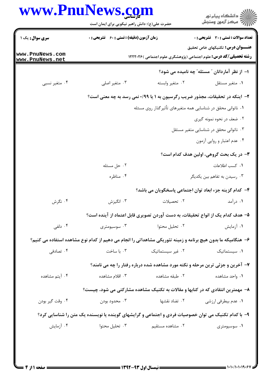| www.PnuNews.com                    |                                                                                                              |                              | ڪ دانشڪاه پيا <sub>م</sub> نور<br>∕ <sup>7</sup> مرڪز آزمون وسنڊش                       |
|------------------------------------|--------------------------------------------------------------------------------------------------------------|------------------------------|-----------------------------------------------------------------------------------------|
|                                    | حضرت علی(ع): دانش راهبر نیکویی برای ایمان است                                                                |                              |                                                                                         |
| <b>سری سوال :</b> یک ۱             | زمان آزمون (دقیقه) : تستی : 60 ٪ تشریحی : 0                                                                  |                              | <b>تعداد سوالات : تستی : 30 ٪ تشریحی : 0</b><br><b>عنـــوان درس:</b> تکنیکهای خاص تحقیق |
| www.PnuNews.com<br>www.PnuNews.net |                                                                                                              |                              | <b>رشته تحصیلی/کد درس:</b> علوم اجتماعی (پژوهشگری علوم اجتماعی )۱۲۲۲۰۲۶                 |
|                                    |                                                                                                              |                              | ۱– از نظر آماردانان ″ مسئله″ چه نامیده می شود؟                                          |
| ۰۴ متغیر نسبی                      | ۰۳ متغیر اصلی                                                                                                | ۰۲ متغیر وابسته              | ٠١ متغير مستقل                                                                          |
|                                    |                                                                                                              |                              | ۲- اینکه در تحقیقات، مجذور ضریب رگرسیون به ۱ یا ۰/۹۹ نمی رسد به چه معنی است؟            |
|                                    | ۱. ناتوانی محقق در شناسایی همه متغیرهای تأثیرگذار روی مسئله                                                  |                              |                                                                                         |
|                                    |                                                                                                              |                              | ۲. ضعف در نحوه نمونه گیری                                                               |
|                                    | ۰۳ ناتوانی محقق در شناسایی متغیر مستقل                                                                       |                              |                                                                                         |
|                                    |                                                                                                              |                              | ۰۴ عدم اعتبار و روایی آزمون                                                             |
|                                    | ۳- در یک بحث گروهی، اولین هدف کدام است؟                                                                      |                              |                                                                                         |
|                                    | ۰۲ حل مسئله                                                                                                  | ٠١ كسب اطلاعات               |                                                                                         |
|                                    | ۰۴ مناظره                                                                                                    | ۰۳ رسیدن به تفاهم بین یکدیگر |                                                                                         |
|                                    |                                                                                                              |                              | ۴– کدام گزینه جزء ابعاد توان اجتماعی پاسخگویان می باشد؟                                 |
| ۰۴ نگرش                            | ۰۳ انگیزش                                                                                                    | ۰۲ تحصیلات                   | ۰۱ در آمد                                                                               |
|                                    |                                                                                                              |                              | ۵– هدف کدام یک از انواع تحقیقات، به دست آوردن تصویری قابل اعتماد از آینده است؟          |
| ۰۴ دلفی                            | ۰۳ سوسیومتری                                                                                                 | ۰۲ تحلیل محتوا               | ۰۱ آزمایش                                                                               |
|                                    | ۶– هنگامیکه ما بدون هیچ برنامه و زمینه تئوریکی مشاهداتی را انجام می دهیم از کدام نوع مشاهده استفاده می کنیم؟ |                              |                                                                                         |
| ۰۴ تصادفی                          | ۰۳ با ساخت                                                                                                   | ۰۲ غیر سیستماتیک             | ٠١ سيستماتيک                                                                            |
|                                    | ۷- آخرین و جزئی ترین مرحله و نکته مورد مشاهده شده درباره رفتار را چه می نامند؟                               |                              |                                                                                         |
| ۰۴ آیتم مشاهده                     | ۰۳ اقلام مشاهده                                                                                              | ۰۲ طبقه مشاهده               | ۰۱ واحد مشاهده                                                                          |
|                                    |                                                                                                              |                              | ۸– مهمترین انتقادی که در کتابها و مقالات به تکنیک مشاهده مشارکتی می شود، چیست؟          |
| ۰۴ وقت گير بودن                    | ۰۳ محدود بودن                                                                                                | ۰۲ تضاد نقشها                | ۰۱ عدم بیطرفی ارزشی                                                                     |
|                                    | ۹- با کدام تکنیک می توان خصوصیات فردی و اجتماعی و گرایشهای گوینده یا نویسنده یک متن را شناسایی کرد؟          |                              |                                                                                         |
| ۰۴ آزمایش                          | ۰۳ تحلیل محتوا                                                                                               | ۰۲ مشاهده مستقیم             | ۰۱ سوسیومتری                                                                            |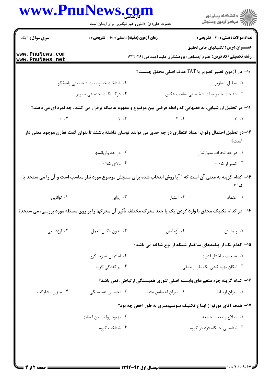|                                                                                                                | <b>www.PnuNews.co</b><br>حضرت علی(ع): دانش راهبر نیکویی برای ایمان است |                                                                                                                 | د دانشڪاه پيام نور<br>√ مرکز آزمون وسنجش     |  |
|----------------------------------------------------------------------------------------------------------------|------------------------------------------------------------------------|-----------------------------------------------------------------------------------------------------------------|----------------------------------------------|--|
| <b>سری سوال : ۱ یک</b>                                                                                         | زمان آزمون (دقیقه) : تستی : 60 ٪ تشریحی : 0                            |                                                                                                                 | <b>تعداد سوالات : تستی : 30 ٪ تشریحی : 0</b> |  |
| www.PnuNews.com<br>www.PnuNews.net                                                                             |                                                                        | <b>رشته تحصیلی/کد درس:</b> علوم اجتماعی (پژوهشگری علوم اجتماعی )۱۲۲۲۰۲۶                                         | عنــــوان درس: تکنیکهای خاص تحقیق            |  |
|                                                                                                                |                                                                        | ∙ا− در آزمون تعبير تصوير يا TAT هدف اصلي محقق چيست؟                                                             |                                              |  |
|                                                                                                                | ۰۲ شناخت خصوصیات شخصیتی پاسخگو                                         |                                                                                                                 | ۰۱ تحلیل تصاویر                              |  |
| ۰۴ درک نکات اجتماعی تصویر                                                                                      |                                                                        |                                                                                                                 | ۰۳ شناخت خصوصیات شخصیتی صاحب عکس             |  |
|                                                                                                                |                                                                        | 11– در تحلیل ارزشیابی، به فعلهایی که رابطه فرضی بین موضوع و مفهوم عامیانه برقرار می کنند، چه نمره ای می دهند؟   |                                              |  |
| $\cdot$ $\cdot$ $\cdot$ $\cdot$                                                                                | $\gamma$ . T                                                           | $\gamma$ . $\gamma$                                                                                             | $\uparrow$ .1                                |  |
|                                                                                                                |                                                                        | ۱۲– در تحلیل احتمال وقوع، اعداد انتظاری در چه حدی می توانند نوسان داشته باشند تا بتوان گفت تقارن موجود معنی دار | است؟                                         |  |
|                                                                                                                | ٠٢ در حد واريانسها                                                     |                                                                                                                 | ۰۱ در حد انحراف معیارشان                     |  |
|                                                                                                                | ۰/۹۵ بالای ه $\cdot$ ۰                                                 |                                                                                                                 | ۰/۰۵ کمتر از ۰/۰۵                            |  |
|                                                                                                                |                                                                        | ۱۳– کدام گزینه به معنی آن است که ″ آیا روش انتخاب شده برای سنجش موضوع مورد نظر مناسب است و آن را می سنجد یا     | نه" ؟                                        |  |
| ۰۴ توانايي                                                                                                     | ۰۳ روایی                                                               | ۰۲ اعتبار                                                                                                       | ٠١. اعتماد                                   |  |
| ۱۴- در کدام تکنیک محقق با وارد کردن یک یا چند محرک مختلف تاٌثیر آن محرکها را بر روی مسئله مورد بررسی، می سنجد؟ |                                                                        |                                                                                                                 |                                              |  |
| ۰۴ ارزشیابی                                                                                                    | ٠٣ بدون عكس العمل                                                      | ۰۲ آزمایش                                                                                                       | ٠١. پيمايش                                   |  |
|                                                                                                                |                                                                        | ۱۵– کدام یک از پیامدهای ساختار شبکه از نوع شاخه می باشد؟                                                        |                                              |  |
|                                                                                                                | ۰۲ احتمال تجزیه گروه                                                   |                                                                                                                 | ٠١. تضعيف ساختار قدرت                        |  |
|                                                                                                                | ۰۴ پراکندگی گروه                                                       |                                                                                                                 | ۰۳ امکان بهره کشی یک نفر از مابقی            |  |
|                                                                                                                |                                                                        | ۱۶– کدام گزینه جزء متغیرهای وابسته اصلی تئوری همبستگی ارتباطی، نمی باشد؟                                        |                                              |  |
| ۰۴ میزان مشارکت                                                                                                | ۰۳ احساس همبستگی                                                       | ۰۲ میزان احساس مثبت                                                                                             | ٠١ ميزان ارتباط                              |  |
|                                                                                                                |                                                                        | ۱۷– هدف آقای مورنو از ابداع تکنیک سوسیومتری به طور اخص چه بود؟                                                  |                                              |  |
|                                                                                                                | ٠٢ بهبود روابط بين انسانها                                             |                                                                                                                 | ٠١. اصلاح وضعيت جامعه                        |  |
|                                                                                                                | ۰۴ شناخت گروه                                                          |                                                                                                                 | ۰۳ شناسایی جایگاه فرد در گروه                |  |
|                                                                                                                |                                                                        |                                                                                                                 |                                              |  |
|                                                                                                                |                                                                        |                                                                                                                 |                                              |  |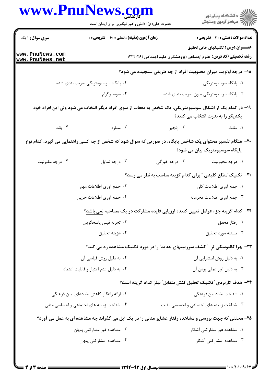|                                    | حضرت علی(ع): دانش راهبر نیکویی برای ایمان است                                                           |                                                                                  | ڪ دانشڪاه پيام نور<br>ر∕⊂ مرڪز آزمون وسنڊش   |  |
|------------------------------------|---------------------------------------------------------------------------------------------------------|----------------------------------------------------------------------------------|----------------------------------------------|--|
| <b>سری سوال : ۱ یک</b>             | زمان آزمون (دقیقه) : تستی : 60 ٪ تشریحی : 0                                                             |                                                                                  | <b>تعداد سوالات : تستی : 30 ٪ تشریحی : 0</b> |  |
| www.PnuNews.com<br>www.PnuNews.net |                                                                                                         | <b>رشته تحصیلی/کد درس:</b> علوم اجتماعی (پژوهشگری علوم اجتماعی )۱۲۲۲۰۲۶          | عنـــوان درس: تکنیکهای خاص تحقیق             |  |
|                                    |                                                                                                         | 18- درجه اولویت میزان محبوبیت افراد از چه طریقی سنجیده می شود؟                   |                                              |  |
|                                    | ۰۲ پایگاه سوسیومتریکی ضریب بندی شده                                                                     |                                                                                  | ۰۱ پایگاه سوسیومتریکی                        |  |
|                                    | ۰۴ سوسیوگرام                                                                                            | ۰۳ پایگاه سوسیومتریکی بدون ضریب بندی شده                                         |                                              |  |
|                                    | ۱۹– در کدام یک از اشکال سوسیومتریکی، یک شخص به دفعات از سوی افراد دیگر انتخاب می شود ولی این افراد خود  |                                                                                  | یکدیگر را به ندرت انتخاب می کنند؟            |  |
| ا باند. ۴ $\cdot$                  | ۰۳ ستاره                                                                                                | ۰۲ زنجیر                                                                         | ۰۱ مثلث                                      |  |
|                                    | ۲۰- هنگام تفسیر محتوای یک شاخص پایگاه، در صورتی که سوال شود که شخص از چه کسی راهنمایی می گیرد، کدام نوع |                                                                                  | پایگاه سوسیومتریک بیان می شود؟               |  |
| ۰۴ درجه مقبوليت                    | ۰۳ درجه تمایل                                                                                           | ۰۲ درجه خبرگی                                                                    | ٠١. درجه محبوبيت                             |  |
|                                    | <b>۲۱</b> - تکنیک ًمطلع کلیدی <sup>ً</sup> برای کدام گزینه مناسب به نظر می رسد؟                         |                                                                                  |                                              |  |
|                                    | ۰۲ جمع أوري اطلاعات مهم                                                                                 | ٠١. جمع أورى اطلاعات كلي                                                         |                                              |  |
|                                    | ۰۴ جمع أوري اطلاعات جزيي                                                                                |                                                                                  | ۰۳ جمع آوري اطلاعات محرمانه                  |  |
|                                    |                                                                                                         | ۲۲- کدام گزینه جزء عوامل تعیین کننده ارزیابی فایده مشارکت در یک مصاحبه نمی باشد؟ |                                              |  |
|                                    | ۰۲ تجربه قبلي پاسخگويان                                                                                 |                                                                                  | ۰۱ رفتار محقق                                |  |
|                                    | ۰۴ هزينه تحقيق                                                                                          |                                                                                  | ۰۳ مسئله مورد تحقیق                          |  |
|                                    |                                                                                                         | ۲۳- چرا کانتوسکی تزِ ″ کشف سرزمینهای جدید″ را در مورد تکنیک مشاهده رد می کند؟    |                                              |  |
|                                    | ٠٢ به دليل روش قياسي آن                                                                                 |                                                                                  | ۰۱ به دلیل روش استقرایی آن                   |  |
|                                    | ۰۴ به دلیل عدم اعتبار و قابلیت اعتماد                                                                   |                                                                                  | ۰۳ به دلیل غیر عملی بودن آن                  |  |
|                                    |                                                                                                         | ۲۴– هدف کاربردی "تکنیک تحلیل کنش متقابل" بیلز کدام گزینه است؟                    |                                              |  |
|                                    | ۰۲ ارائه راهکار کاهش تضادهای بین فرهنگی                                                                 |                                                                                  | ٠١. شناخت تضاد بين فرهنگي                    |  |
|                                    | ۰۴ شناخت زمینه های اجتماعی و احساسی منفی                                                                | ۰۳ شناخت زمینه های اجتماعی و احساسی مثبت                                         |                                              |  |
|                                    | ۲۵- محققی که جهت بررسی و مشاهده رفتار عشایر مدتی را در یک ایل می گذراند چه مشاهده ای به عمل می آورد؟    |                                                                                  |                                              |  |
|                                    | ۰۲ مشاهده غیر مشارکتی پنهان                                                                             |                                                                                  | ۰۱ مشاهده غیر مشارکتی آشکار                  |  |
|                                    | ۰۴ مشاهده مشارکتی پنهان                                                                                 |                                                                                  | ۰۳ مشاهده مشارکتی آشکار                      |  |